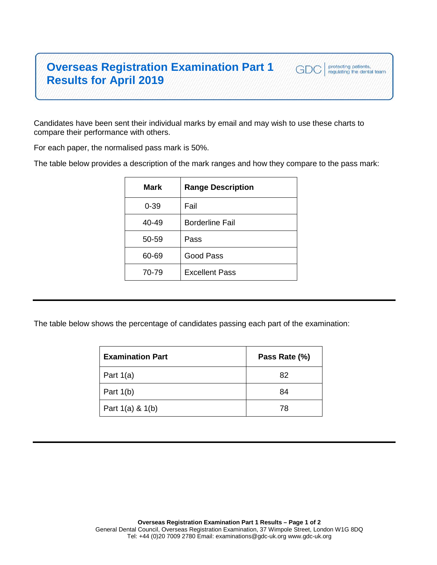## **Overseas Registration Examination Part 1 Results for April 2019**

Candidates have been sent their individual marks by email and may wish to use these charts to compare their performance with others.

For each paper, the normalised pass mark is 50%.

The table below provides a description of the mark ranges and how they compare to the pass mark:

protecting patients,<br>regulating the dental team

GDC

| <b>Range Description</b> |
|--------------------------|
| Fail                     |
| <b>Borderline Fail</b>   |
| Pass                     |
| Good Pass                |
| <b>Excellent Pass</b>    |
|                          |

The table below shows the percentage of candidates passing each part of the examination:

| <b>Examination Part</b> | Pass Rate (%) |
|-------------------------|---------------|
| Part $1(a)$             | 82            |
| Part $1(b)$             | 84            |
| Part $1(a)$ & $1(b)$    | 78            |